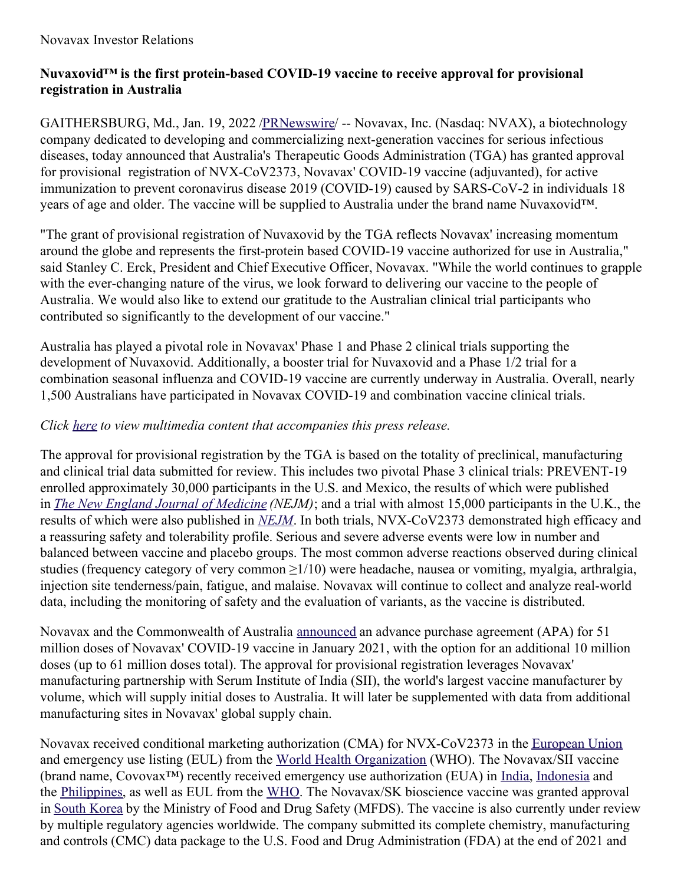# **Nuvaxovid™ is the first protein-based COVID-19 vaccine to receive approval for provisional registration in Australia**

GAITHERSBURG, Md., Jan. 19, 2022 [/PRNewswire](http://www.prnewswire.com/)/ -- Novavax, Inc. (Nasdaq: NVAX), a biotechnology company dedicated to developing and commercializing next-generation vaccines for serious infectious diseases, today announced that Australia's Therapeutic Goods Administration (TGA) has granted approval for provisional registration of NVX-CoV2373, Novavax' COVID-19 vaccine (adjuvanted), for active immunization to prevent coronavirus disease 2019 (COVID-19) caused by SARS-CoV-2 in individuals 18 years of age and older. The vaccine will be supplied to Australia under the brand name Nuvaxovid™.

"The grant of provisional registration of Nuvaxovid by the TGA reflects Novavax' increasing momentum around the globe and represents the first-protein based COVID-19 vaccine authorized for use in Australia," said Stanley C. Erck, President and Chief Executive Officer, Novavax. "While the world continues to grapple with the ever-changing nature of the virus, we look forward to delivering our vaccine to the people of Australia. We would also like to extend our gratitude to the Australian clinical trial participants who contributed so significantly to the development of our vaccine."

Australia has played a pivotal role in Novavax' Phase 1 and Phase 2 clinical trials supporting the development of Nuvaxovid. Additionally, a booster trial for Nuvaxovid and a Phase 1/2 trial for a combination seasonal influenza and COVID-19 vaccine are currently underway in Australia. Overall, nearly 1,500 Australians have participated in Novavax COVID-19 and combination vaccine clinical trials.

## *Click [here](https://c212.net/c/link/?t=0&l=en&o=3418278-1&h=322306328&u=https%3A%2F%2Freportablenews.com%2Fpress_release%2F2225%2Fpreview%3Fkey%3DgBoJDwHtHNHfi4GWrAVy&a=here) to view multimedia content that accompanies this press release.*

The approval for provisional registration by the TGA is based on the totality of preclinical, manufacturing and clinical trial data submitted for review. This includes two pivotal Phase 3 clinical trials: PREVENT-19 enrolled approximately 30,000 participants in the U.S. and Mexico, the results of which were published in *The New England Journal of [Medicine](https://c212.net/c/link/?t=0&l=en&o=3418278-1&h=2534446558&u=https%3A%2F%2Fc212.net%2Fc%2Flink%2F%3Ft%3D0%26l%3Den%26o%3D3395363-1%26h%3D1255159614%26u%3Dhttps%253A%252F%252Fwww.nejm.org%252Fdoi%252Ffull%252F10.1056%252FNEJMoa2116185%253Fquery%253Dfeatured_home%26a%3DThe%2BNew%2BEngland%2BJournal%2Bof%2BMedicine&a=The+New+England+Journal+of+Medicine) (NEJM)*; and a trial with almost 15,000 participants in the U.K., the results of which were also published in *[NEJM](https://c212.net/c/link/?t=0&l=en&o=3418278-1&h=523704183&u=https%3A%2F%2Fc212.net%2Fc%2Flink%2F%3Ft%3D0%26l%3Den%26o%3D3395363-1%26h%3D589938842%26u%3Dhttps%253A%252F%252Fwww.nejm.org%252Fdoi%252Ffull%252F10.1056%252FNEJMoa2107659%26a%3DNEJM&a=NEJM)*. In both trials, NVX-CoV2373 demonstrated high efficacy and a reassuring safety and tolerability profile. Serious and severe adverse events were low in number and balanced between vaccine and placebo groups. The most common adverse reactions observed during clinical studies (frequency category of very common ≥1/10) were headache, nausea or vomiting, myalgia, arthralgia, injection site tenderness/pain, fatigue, and malaise. Novavax will continue to collect and analyze real-world data, including the monitoring of safety and the evaluation of variants, as the vaccine is distributed.

Novavax and the Commonwealth of Australia [announced](https://c212.net/c/link/?t=0&l=en&o=3418278-1&h=1073062689&u=https%3A%2F%2Fir.novavax.com%2F2021-01-07-Novavax-Finalizes-Agreement-with-Commonwealth-of-Australia-for-51-Million-Doses-of-COVID-19-Vaccine&a=announced) an advance purchase agreement (APA) for 51 million doses of Novavax' COVID-19 vaccine in January 2021, with the option for an additional 10 million doses (up to 61 million doses total). The approval for provisional registration leverages Novavax' manufacturing partnership with Serum Institute of India (SII), the world's largest vaccine manufacturer by volume, which will supply initial doses to Australia. It will later be supplemented with data from additional manufacturing sites in Novavax' global supply chain.

Novavax received conditional marketing authorization (CMA) for NVX-CoV2373 in the [European](https://c212.net/c/link/?t=0&l=en&o=3418278-1&h=4293825725&u=https%3A%2F%2Fc212.net%2Fc%2Flink%2F%3Ft%3D0%26l%3Den%26o%3D3397167-1%26h%3D2118831841%26u%3Dhttps%253A%252F%252Fir.novavax.com%252F2021-12-20-European-Commission-Grants-Conditional-Marketing-Authorization-for-Novavax-COVID-19-Vaccine%26a%3Dconditional%2Bmarketing%2Bauthorization&a=European+Union) Union and emergency use listing (EUL) from the World Health [Organization](https://c212.net/c/link/?t=0&l=en&o=3418278-1&h=3156131270&u=https%3A%2F%2Fir.novavax.com%2F2021-12-20-World-Health-Organization-Grants-Second-Emergency-Use-Listing-for-Novavax-COVID-19-Vaccine&a=World+Health+Organization) (WHO). The Novavax/SII vaccine (brand name, Covovax™) recently received emergency use authorization (EUA) in [India](https://c212.net/c/link/?t=0&l=en&o=3418278-1&h=3280457786&u=https%3A%2F%2Fir.novavax.com%2F2021-12-28-Novavax-and-Serum-Institute-of-India-Receive-Emergency-Use-Authorization-for-COVID-19-Vaccine-in-India&a=India), [Indonesia](https://c212.net/c/link/?t=0&l=en&o=3418278-1&h=1517391901&u=https%3A%2F%2Fc212.net%2Fc%2Flink%2F%3Ft%3D0%26l%3Den%26o%3D3399869-1%26h%3D2512752792%26u%3Dhttps%253A%252F%252Fc212.net%252Fc%252Flink%252F%253Ft%253D0%2526l%253Den%2526o%253D3362716-1%2526h%253D3386714073%2526u%253Dhttps%25253A%25252F%25252Fir.novavax.com%25252F2021-11-01-Novavax-and-Serum-Institute-of-India-Receive-Emergency-Use-Authorization-for-COVID-19-Vaccine-in-Indonesia%2526a%253DIndonesia%26a%3DIndonesia&a=Indonesia) and the [Philippines](https://c212.net/c/link/?t=0&l=en&o=3418278-1&h=1517571059&u=https%3A%2F%2Fc212.net%2Fc%2Flink%2F%3Ft%3D0%26l%3Den%26o%3D3399869-1%26h%3D1865884309%26u%3Dhttps%253A%252F%252Fir.novavax.com%252F2021-11-17-Novavax-and-Serum-Institute-of-India-Receive-Emergency-Use-Authorization-for-COVID-19-Vaccine-in-the-Philippines%26a%3DPhilippines&a=Philippines), as well as EUL from the [WHO](https://c212.net/c/link/?t=0&l=en&o=3418278-1&h=2382393794&u=https%3A%2F%2Fir.novavax.com%2F2021-12-17-Novavax-and-Serum-Institute-of-India-Announce-World-Health-Organization-Grants-Emergency-Use-Listing-for-NVX-CoV2373-COVID-19-Vaccine&a=WHO). The Novavax/SK bioscience vaccine was granted approval in South [Korea](https://c212.net/c/link/?t=0&l=en&o=3418278-1&h=1846523391&u=https%3A%2F%2Fir.novavax.com%2F2022-01-12-South-Korea-Ministry-of-Food-and-Drug-Safety-Approves-Novavax-COVID-19-Vaccine&a=South+Korea) by the Ministry of Food and Drug Safety (MFDS). The vaccine is also currently under review by multiple regulatory agencies worldwide. The company submitted its complete chemistry, manufacturing and controls (CMC) data package to the U.S. Food and Drug Administration (FDA) at the end of 2021 and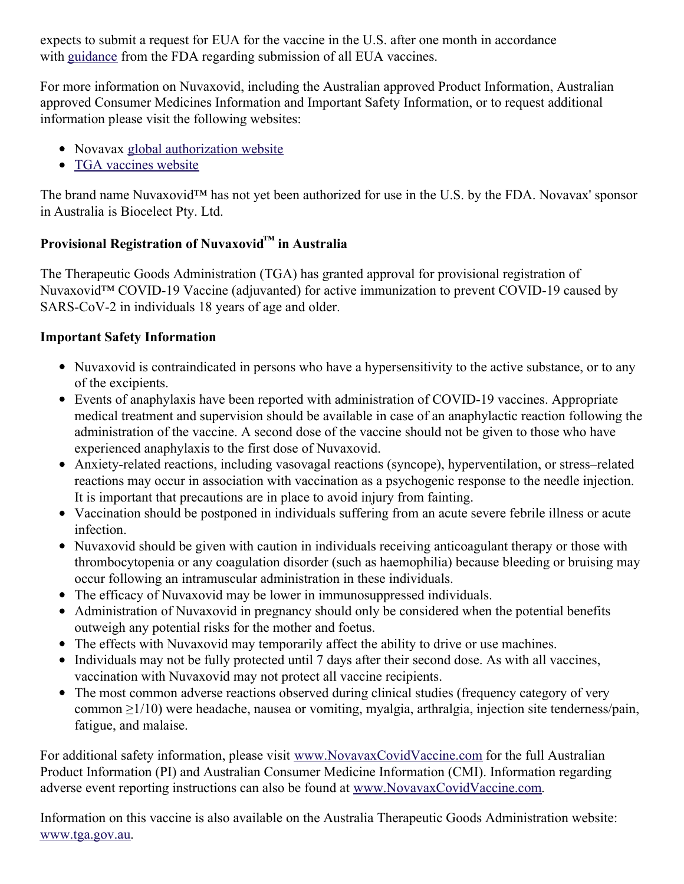expects to submit a request for EUA for the vaccine in the U.S. after one month in accordance with [guidance](https://c212.net/c/link/?t=0&l=en&o=3418278-1&h=433303435&u=https%3A%2F%2Fwww.fda.gov%2Fmedia%2F142749%2Fdownload&a=guidance) from the FDA regarding submission of all EUA vaccines.

For more information on Nuvaxovid, including the Australian approved Product Information, Australian approved Consumer Medicines Information and Important Safety Information, or to request additional information please visit the following websites:

- Novavax global [authorization](https://c212.net/c/link/?t=0&l=en&o=3418278-1&h=3441923307&u=https%3A%2F%2Fwww.novavaxcovidvaccine.com%2F&a=global+authorization+website) website
- TGA [vaccines](https://c212.net/c/link/?t=0&l=en&o=3418278-1&h=3968106189&u=https%3A%2F%2Fwww.tga.gov.au%2Fcovid-19-vaccine-provisional-registrations&a=TGA+vaccines+website) website

The brand name Nuvaxovid™ has not yet been authorized for use in the U.S. by the FDA. Novavax' sponsor in Australia is Biocelect Pty. Ltd.

# **Provisional Registration of Nuvaxovid™ in Australia**

The Therapeutic Goods Administration (TGA) has granted approval for provisional registration of Nuvaxovid<sup>™</sup> COVID-19 Vaccine (adjuvanted) for active immunization to prevent COVID-19 caused by SARS-CoV-2 in individuals 18 years of age and older.

## **Important Safety Information**

- Nuvaxovid is contraindicated in persons who have a hypersensitivity to the active substance, or to any of the excipients.
- Events of anaphylaxis have been reported with administration of COVID-19 vaccines. Appropriate medical treatment and supervision should be available in case of an anaphylactic reaction following the administration of the vaccine. A second dose of the vaccine should not be given to those who have experienced anaphylaxis to the first dose of Nuvaxovid.
- Anxiety-related reactions, including vasovagal reactions (syncope), hyperventilation, or stress–related reactions may occur in association with vaccination as a psychogenic response to the needle injection. It is important that precautions are in place to avoid injury from fainting.
- Vaccination should be postponed in individuals suffering from an acute severe febrile illness or acute infection.
- Nuvaxovid should be given with caution in individuals receiving anticoagulant therapy or those with thrombocytopenia or any coagulation disorder (such as haemophilia) because bleeding or bruising may occur following an intramuscular administration in these individuals.
- The efficacy of Nuvaxovid may be lower in immunosuppressed individuals.
- Administration of Nuvaxovid in pregnancy should only be considered when the potential benefits outweigh any potential risks for the mother and foetus.
- The effects with Nuvaxovid may temporarily affect the ability to drive or use machines.
- Individuals may not be fully protected until 7 days after their second dose. As with all vaccines, vaccination with Nuvaxovid may not protect all vaccine recipients.
- The most common adverse reactions observed during clinical studies (frequency category of very common ≥1/10) were headache, nausea or vomiting, myalgia, arthralgia, injection site tenderness/pain, fatigue, and malaise.

For additional safety information, please visit [www.NovavaxCovidVaccine.com](https://c212.net/c/link/?t=0&l=en&o=3418278-1&h=1863070318&u=http%3A%2F%2Fwww.novavaxcovidvaccine.com%2F&a=www.NovavaxCovidVaccine.com) for the full Australian Product Information (PI) and Australian Consumer Medicine Information (CMI). Information regarding adverse event reporting instructions can also be found at [www.NovavaxCovidVaccine.com](https://c212.net/c/link/?t=0&l=en&o=3418278-1&h=1863070318&u=http%3A%2F%2Fwww.novavaxcovidvaccine.com%2F&a=www.NovavaxCovidVaccine.com).

Information on this vaccine is also available on the Australia Therapeutic Goods Administration website: [www.tga.gov.au.](https://c212.net/c/link/?t=0&l=en&o=3418278-1&h=3184803250&u=https%3A%2F%2Fprndl2-irisxe3.prnewswire.local%2FUsers%2Faspeak%2FAppData%2FLocal%2FMicrosoft%2FWindows%2FINetCache%2FContent.Outlook%2FVMYX23CS%2Fwww.tga.gov.au&a=www.tga.gov.au)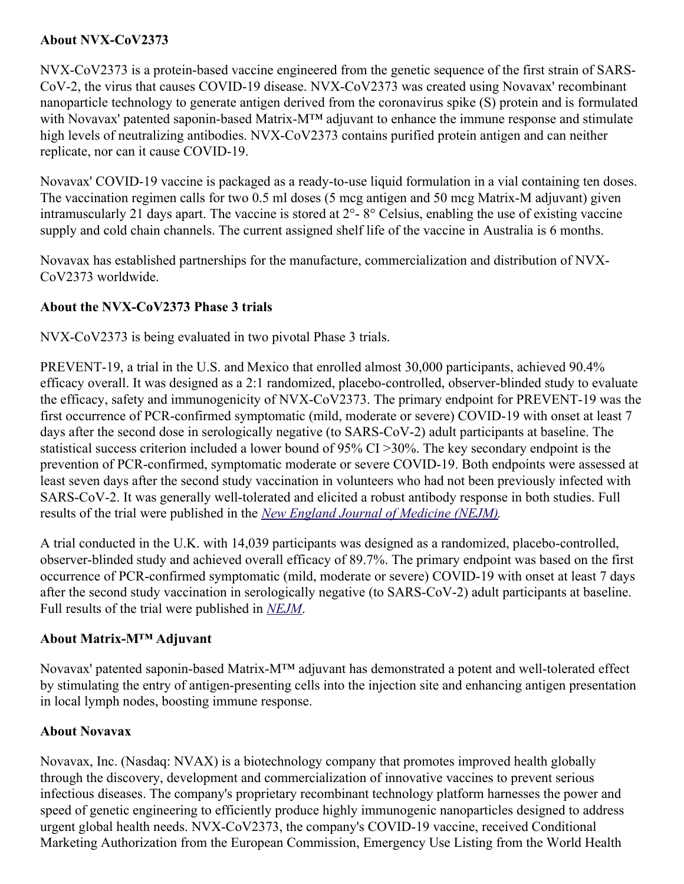#### **About NVX-CoV2373**

NVX-CoV2373 is a protein-based vaccine engineered from the genetic sequence of the first strain of SARS-CoV-2, the virus that causes COVID-19 disease. NVX-CoV2373 was created using Novavax' recombinant nanoparticle technology to generate antigen derived from the coronavirus spike (S) protein and is formulated with Novavax' patented saponin-based Matrix-M™ adjuvant to enhance the immune response and stimulate high levels of neutralizing antibodies. NVX-CoV2373 contains purified protein antigen and can neither replicate, nor can it cause COVID-19.

Novavax' COVID-19 vaccine is packaged as a ready-to-use liquid formulation in a vial containing ten doses. The vaccination regimen calls for two 0.5 ml doses (5 mcg antigen and 50 mcg Matrix-M adjuvant) given intramuscularly 21 days apart. The vaccine is stored at 2°- 8° Celsius, enabling the use of existing vaccine supply and cold chain channels. The current assigned shelf life of the vaccine in Australia is 6 months.

Novavax has established partnerships for the manufacture, commercialization and distribution of NVX-CoV2373 worldwide.

## **About the NVX-CoV2373 Phase 3 trials**

NVX-CoV2373 is being evaluated in two pivotal Phase 3 trials.

PREVENT-19, a trial in the U.S. and Mexico that enrolled almost 30,000 participants, achieved 90.4% efficacy overall. It was designed as a 2:1 randomized, placebo-controlled, observer-blinded study to evaluate the efficacy, safety and immunogenicity of NVX-CoV2373. The primary endpoint for PREVENT-19 was the first occurrence of PCR-confirmed symptomatic (mild, moderate or severe) COVID-19 with onset at least 7 days after the second dose in serologically negative (to SARS-CoV-2) adult participants at baseline. The statistical success criterion included a lower bound of 95% CI >30%. The key secondary endpoint is the prevention of PCR-confirmed, symptomatic moderate or severe COVID-19. Both endpoints were assessed at least seven days after the second study vaccination in volunteers who had not been previously infected with SARS-CoV-2. It was generally well-tolerated and elicited a robust antibody response in both studies. Full results of the trial were published in the *New England Journal of [Medicine](https://c212.net/c/link/?t=0&l=en&o=3418278-1&h=3782401673&u=https%3A%2F%2Fc212.net%2Fc%2Flink%2F%3Ft%3D0%26l%3Den%26o%3D3395363-1%26h%3D1255159614%26u%3Dhttps%253A%252F%252Fwww.nejm.org%252Fdoi%252Ffull%252F10.1056%252FNEJMoa2116185%253Fquery%253Dfeatured_home%26a%3DThe%2BNew%2BEngland%2BJournal%2Bof%2BMedicine&a=New+England+Journal+of+Medicine+(NEJM)) (NEJM).*

A trial conducted in the U.K. with 14,039 participants was designed as a randomized, placebo-controlled, observer-blinded study and achieved overall efficacy of 89.7%. The primary endpoint was based on the first occurrence of PCR-confirmed symptomatic (mild, moderate or severe) COVID-19 with onset at least 7 days after the second study vaccination in serologically negative (to SARS-CoV-2) adult participants at baseline. Full results of the trial were published in *[NEJM](https://c212.net/c/link/?t=0&l=en&o=3418278-1&h=523704183&u=https%3A%2F%2Fc212.net%2Fc%2Flink%2F%3Ft%3D0%26l%3Den%26o%3D3395363-1%26h%3D589938842%26u%3Dhttps%253A%252F%252Fwww.nejm.org%252Fdoi%252Ffull%252F10.1056%252FNEJMoa2107659%26a%3DNEJM&a=NEJM)*.

#### **About Matrix-M™ Adjuvant**

Novavax' patented saponin-based Matrix-M™ adjuvant has demonstrated a potent and well-tolerated effect by stimulating the entry of antigen-presenting cells into the injection site and enhancing antigen presentation in local lymph nodes, boosting immune response.

## **About Novavax**

Novavax, Inc. (Nasdaq: NVAX) is a biotechnology company that promotes improved health globally through the discovery, development and commercialization of innovative vaccines to prevent serious infectious diseases. The company's proprietary recombinant technology platform harnesses the power and speed of genetic engineering to efficiently produce highly immunogenic nanoparticles designed to address urgent global health needs. NVX-CoV2373, the company's COVID-19 vaccine, received Conditional Marketing Authorization from the European Commission, Emergency Use Listing from the World Health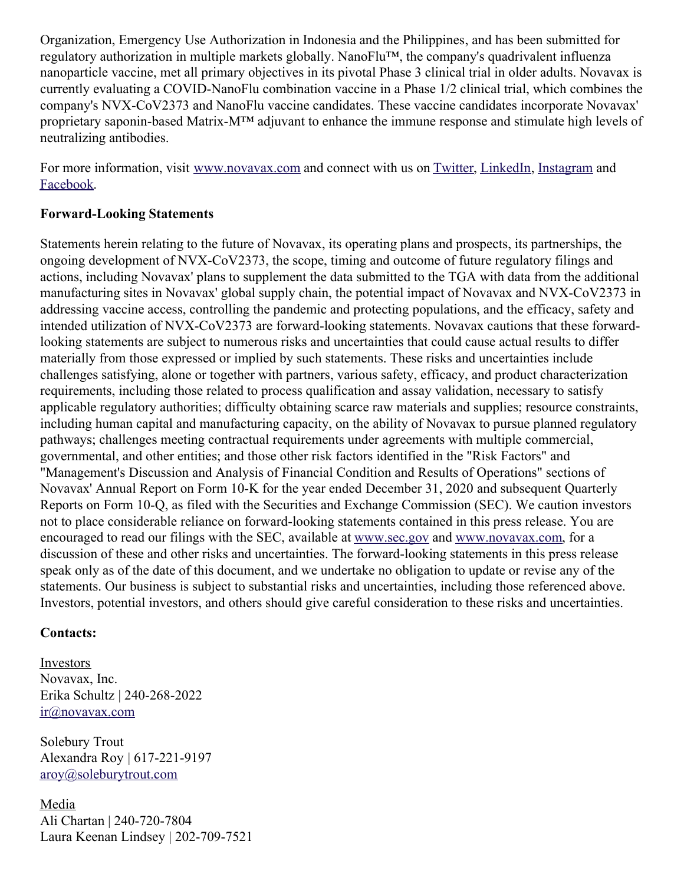Organization, Emergency Use Authorization in Indonesia and the Philippines, and has been submitted for regulatory authorization in multiple markets globally. NanoFlu™, the company's quadrivalent influenza nanoparticle vaccine, met all primary objectives in its pivotal Phase 3 clinical trial in older adults. Novavax is currently evaluating a COVID-NanoFlu combination vaccine in a Phase 1/2 clinical trial, which combines the company's NVX-CoV2373 and NanoFlu vaccine candidates. These vaccine candidates incorporate Novavax' proprietary saponin-based Matrix-M™ adjuvant to enhance the immune response and stimulate high levels of neutralizing antibodies.

For more information, visit [www.novavax.com](https://c212.net/c/link/?t=0&l=en&o=3418278-1&h=2301237600&u=https%3A%2F%2Fc212.net%2Fc%2Flink%2F%3Ft%3D0%26l%3Den%26o%3D3260461-1%26h%3D2897486098%26u%3Dhttp%253A%252F%252Fwww.novavax.com%252F%26a%3Dwww.novavax.com&a=www.novavax.com) and connect with us on [Twitter](https://c212.net/c/link/?t=0&l=en&o=3418278-1&h=3064933472&u=https%3A%2F%2Fc212.net%2Fc%2Flink%2F%3Ft%3D0%26l%3Den%26o%3D3260461-1%26h%3D1316526774%26u%3Dhttps%253A%252F%252Fc212.net%252Fc%252Flink%252F%253Ft%253D0%2526l%253Den%2526o%253D3158017-1%2526h%253D500821283%2526u%253Dhttps%25253A%25252F%25252Ftwitter.com%25252FNovavax%2526a%253DTwitter%26a%3DTwitter&a=Twitter), [LinkedIn](https://c212.net/c/link/?t=0&l=en&o=3418278-1&h=3467374263&u=https%3A%2F%2Fc212.net%2Fc%2Flink%2F%3Ft%3D0%26l%3Den%26o%3D3260461-1%26h%3D1508558197%26u%3Dhttps%253A%252F%252Fc212.net%252Fc%252Flink%252F%253Ft%253D0%2526l%253Den%2526o%253D3158017-1%2526h%253D3702938248%2526u%253Dhttps%25253A%25252F%25252Fwww.linkedin.com%25252Fcompany%25252Fnovavax%25252F%2526a%253DLinkedIn%26a%3DLinkedIn&a=LinkedIn), [Instagram](https://c212.net/c/link/?t=0&l=en&o=3418278-1&h=1375810999&u=https%3A%2F%2Fc212.net%2Fc%2Flink%2F%3Ft%3D0%26l%3Den%26o%3D3367039-1%26h%3D3348182013%26u%3Dhttps%253A%252F%252Fwww.instagram.com%252Fnovavax%252F%26a%3DInstagram&a=Instagram) and [Facebook](https://c212.net/c/link/?t=0&l=en&o=3418278-1&h=2478183485&u=https%3A%2F%2Fwww.facebook.com%2FNovavax%2F&a=Facebook).

## **Forward-Looking Statements**

Statements herein relating to the future of Novavax, its operating plans and prospects, its partnerships, the ongoing development of NVX-CoV2373, the scope, timing and outcome of future regulatory filings and actions, including Novavax' plans to supplement the data submitted to the TGA with data from the additional manufacturing sites in Novavax' global supply chain, the potential impact of Novavax and NVX-CoV2373 in addressing vaccine access, controlling the pandemic and protecting populations, and the efficacy, safety and intended utilization of NVX-CoV2373 are forward-looking statements. Novavax cautions that these forwardlooking statements are subject to numerous risks and uncertainties that could cause actual results to differ materially from those expressed or implied by such statements. These risks and uncertainties include challenges satisfying, alone or together with partners, various safety, efficacy, and product characterization requirements, including those related to process qualification and assay validation, necessary to satisfy applicable regulatory authorities; difficulty obtaining scarce raw materials and supplies; resource constraints, including human capital and manufacturing capacity, on the ability of Novavax to pursue planned regulatory pathways; challenges meeting contractual requirements under agreements with multiple commercial, governmental, and other entities; and those other risk factors identified in the "Risk Factors" and "Management's Discussion and Analysis of Financial Condition and Results of Operations" sections of Novavax' Annual Report on Form 10-K for the year ended December 31, 2020 and subsequent Quarterly Reports on Form 10-Q, as filed with the Securities and Exchange Commission (SEC). We caution investors not to place considerable reliance on forward-looking statements contained in this press release. You are encouraged to read our filings with the SEC, available at [www.sec.gov](https://c212.net/c/link/?t=0&l=en&o=3418278-1&h=306882685&u=http%3A%2F%2Fwww.sec.gov%2F&a=www.sec.gov) and [www.novavax.com](https://c212.net/c/link/?t=0&l=en&o=3418278-1&h=393278701&u=http%3A%2F%2Fwww.novavax.com%2F&a=www.novavax.com), for a discussion of these and other risks and uncertainties. The forward-looking statements in this press release speak only as of the date of this document, and we undertake no obligation to update or revise any of the statements. Our business is subject to substantial risks and uncertainties, including those referenced above. Investors, potential investors, and others should give careful consideration to these risks and uncertainties.

#### **Contacts:**

Investors Novavax, Inc. Erika Schultz | 240-268-2022 [ir@novavax.com](mailto:ir@novavax.com)

Solebury Trout Alexandra Roy | 617-221-9197 [aroy@soleburytrout.com](mailto:aroy@soleburytrout.com)

Media Ali Chartan | 240-720-7804 Laura Keenan Lindsey | 202-709-7521